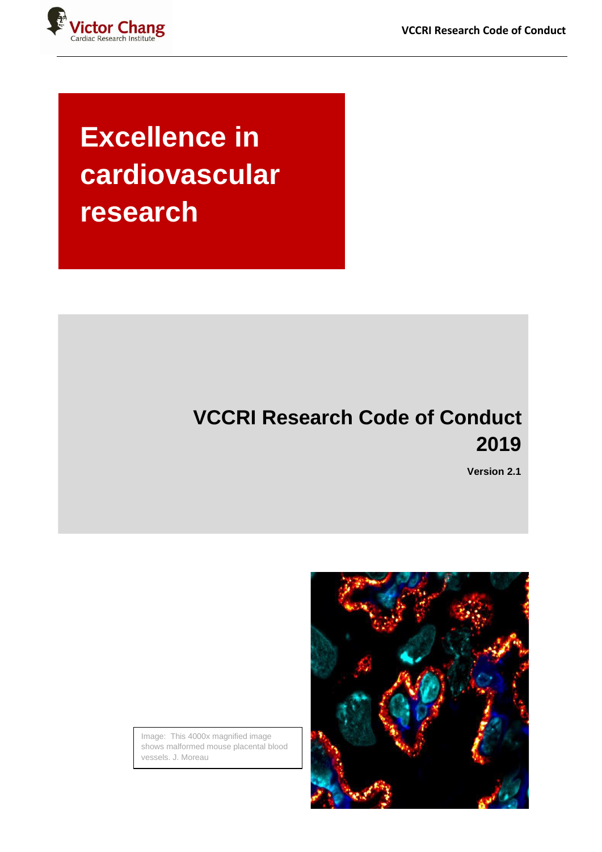

# **Excellence in cardiovascular research**

## **VCCRI Research Code of Conduct 2019**

**Version 2.1**



Image: This 4000x magnified image shows malformed mouse placental blood vessels. J. Moreau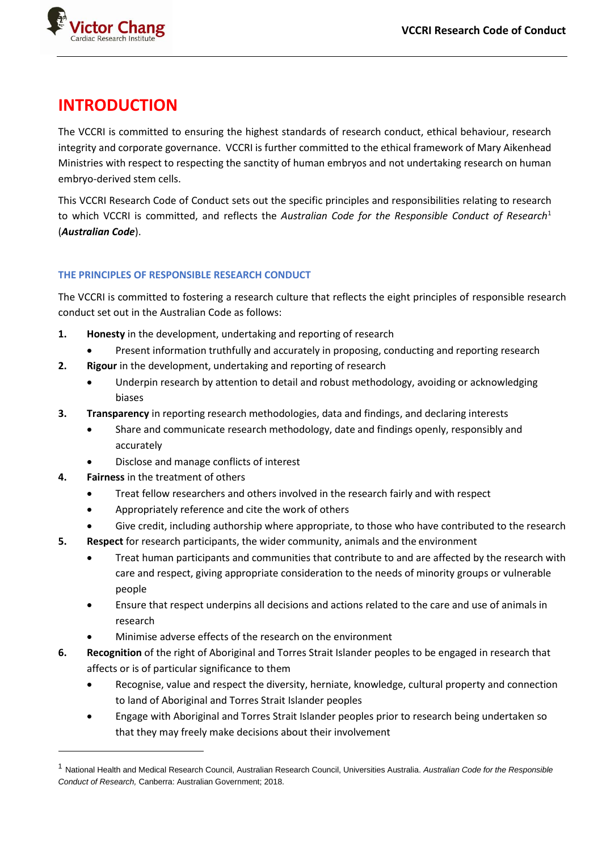

## **INTRODUCTION**

The VCCRI is committed to ensuring the highest standards of research conduct, ethical behaviour, research integrity and corporate governance. VCCRI is further committed to the ethical framework of Mary Aikenhead Ministries with respect to respecting the sanctity of human embryos and not undertaking research on human embryo-derived stem cells.

This VCCRI Research Code of Conduct sets out the specific principles and responsibilities relating to research to which VCCRI is committed, and reflects the *Australian Code for the Responsible Conduct of Research*<sup>1</sup> (*Australian Code*).

#### **THE PRINCIPLES OF RESPONSIBLE RESEARCH CONDUCT**

The VCCRI is committed to fostering a research culture that reflects the eight principles of responsible research conduct set out in the Australian Code as follows:

- **1. Honesty** in the development, undertaking and reporting of research
	- Present information truthfully and accurately in proposing, conducting and reporting research
- **2. Rigour** in the development, undertaking and reporting of research
	- Underpin research by attention to detail and robust methodology, avoiding or acknowledging biases
- **3. Transparency** in reporting research methodologies, data and findings, and declaring interests
	- Share and communicate research methodology, date and findings openly, responsibly and accurately
	- Disclose and manage conflicts of interest
- **4. Fairness** in the treatment of others
	- Treat fellow researchers and others involved in the research fairly and with respect
	- Appropriately reference and cite the work of others
	- Give credit, including authorship where appropriate, to those who have contributed to the research
- **5. Respect** for research participants, the wider community, animals and the environment
	- Treat human participants and communities that contribute to and are affected by the research with care and respect, giving appropriate consideration to the needs of minority groups or vulnerable people
	- Ensure that respect underpins all decisions and actions related to the care and use of animals in research
	- Minimise adverse effects of the research on the environment
- **6. Recognition** of the right of Aboriginal and Torres Strait Islander peoples to be engaged in research that affects or is of particular significance to them
	- Recognise, value and respect the diversity, herniate, knowledge, cultural property and connection to land of Aboriginal and Torres Strait Islander peoples
	- Engage with Aboriginal and Torres Strait Islander peoples prior to research being undertaken so that they may freely make decisions about their involvement

<sup>1</sup> National Health and Medical Research Council, Australian Research Council, Universities Australia. *Australian Code for the Responsible Conduct of Research,* Canberra: Australian Government; 2018.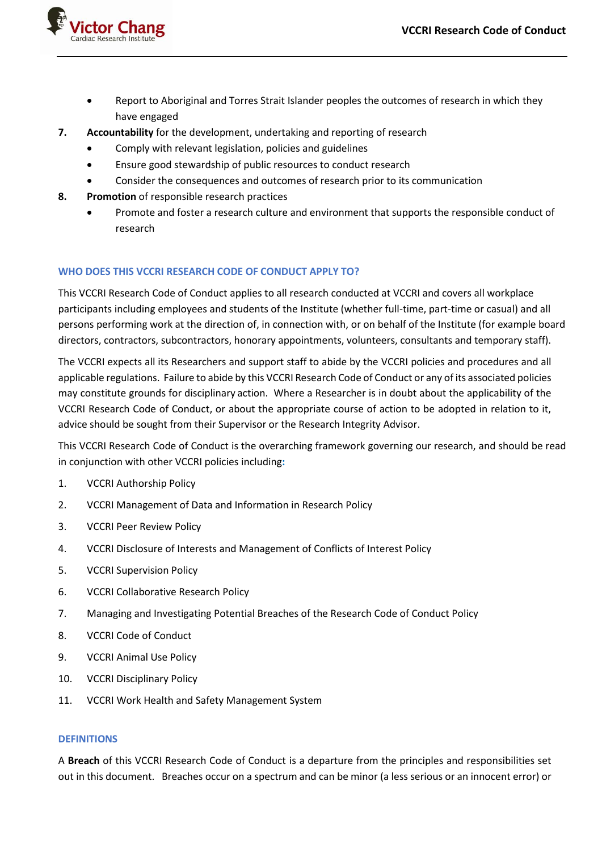

- Report to Aboriginal and Torres Strait Islander peoples the outcomes of research in which they have engaged
- **7. Accountability** for the development, undertaking and reporting of research
	- Comply with relevant legislation, policies and guidelines
	- Ensure good stewardship of public resources to conduct research
	- Consider the consequences and outcomes of research prior to its communication
- **8. Promotion** of responsible research practices
	- Promote and foster a research culture and environment that supports the responsible conduct of research

#### **WHO DOES THIS VCCRI RESEARCH CODE OF CONDUCT APPLY TO?**

This VCCRI Research Code of Conduct applies to all research conducted at VCCRI and covers all workplace participants including employees and students of the Institute (whether full-time, part-time or casual) and all persons performing work at the direction of, in connection with, or on behalf of the Institute (for example board directors, contractors, subcontractors, honorary appointments, volunteers, consultants and temporary staff).

The VCCRI expects all its Researchers and support staff to abide by the VCCRI policies and procedures and all applicable regulations. Failure to abide by this VCCRI Research Code of Conduct or any of its associated policies may constitute grounds for disciplinary action. Where a Researcher is in doubt about the applicability of the VCCRI Research Code of Conduct, or about the appropriate course of action to be adopted in relation to it, advice should be sought from their Supervisor or the Research Integrity Advisor.

This VCCRI Research Code of Conduct is the overarching framework governing our research, and should be read in conjunction with other VCCRI policies including**:**

- 1. VCCRI Authorship Policy
- 2. VCCRI Management of Data and Information in Research Policy
- 3. VCCRI Peer Review Policy
- 4. VCCRI Disclosure of Interests and Management of Conflicts of Interest Policy
- 5. VCCRI Supervision Policy
- 6. VCCRI Collaborative Research Policy
- 7. Managing and Investigating Potential Breaches of the Research Code of Conduct Policy
- 8. VCCRI Code of Conduct
- 9. VCCRI Animal Use Policy
- 10. VCCRI Disciplinary Policy
- 11. VCCRI Work Health and Safety Management System

#### **DEFINITIONS**

A **Breach** of this VCCRI Research Code of Conduct is a departure from the principles and responsibilities set out in this document. Breaches occur on a spectrum and can be minor (a less serious or an innocent error) or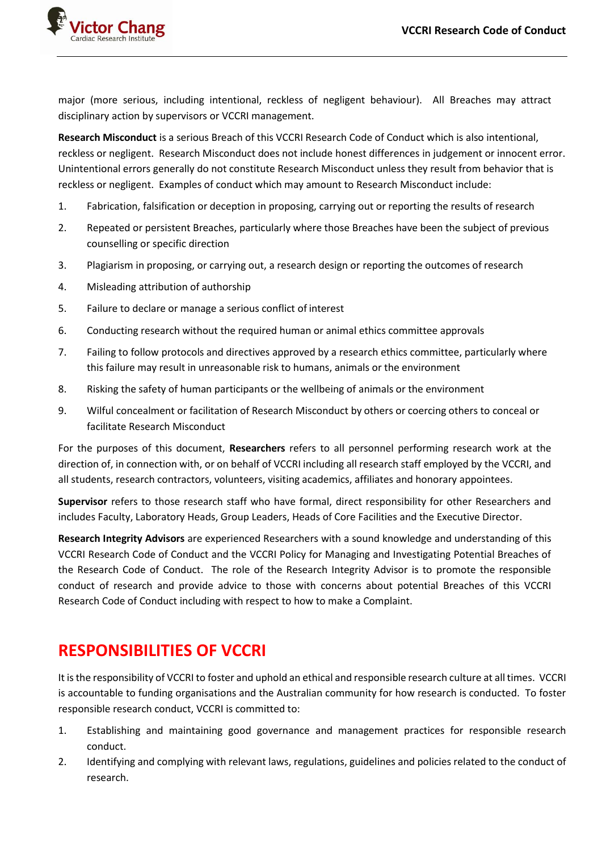

major (more serious, including intentional, reckless of negligent behaviour). All Breaches may attract disciplinary action by supervisors or VCCRI management.

**Research Misconduct** is a serious Breach of this VCCRI Research Code of Conduct which is also intentional, reckless or negligent. Research Misconduct does not include honest differences in judgement or innocent error. Unintentional errors generally do not constitute Research Misconduct unless they result from behavior that is reckless or negligent. Examples of conduct which may amount to Research Misconduct include:

- 1. Fabrication, falsification or deception in proposing, carrying out or reporting the results of research
- 2. Repeated or persistent Breaches, particularly where those Breaches have been the subject of previous counselling or specific direction
- 3. Plagiarism in proposing, or carrying out, a research design or reporting the outcomes of research
- 4. Misleading attribution of authorship
- 5. Failure to declare or manage a serious conflict of interest
- 6. Conducting research without the required human or animal ethics committee approvals
- 7. Failing to follow protocols and directives approved by a research ethics committee, particularly where this failure may result in unreasonable risk to humans, animals or the environment
- 8. Risking the safety of human participants or the wellbeing of animals or the environment
- 9. Wilful concealment or facilitation of Research Misconduct by others or coercing others to conceal or facilitate Research Misconduct

For the purposes of this document, **Researchers** refers to all personnel performing research work at the direction of, in connection with, or on behalf of VCCRI including all research staff employed by the VCCRI, and all students, research contractors, volunteers, visiting academics, affiliates and honorary appointees.

**Supervisor** refers to those research staff who have formal, direct responsibility for other Researchers and includes Faculty, Laboratory Heads, Group Leaders, Heads of Core Facilities and the Executive Director.

**Research Integrity Advisors** are experienced Researchers with a sound knowledge and understanding of this VCCRI Research Code of Conduct and the VCCRI Policy for Managing and Investigating Potential Breaches of the Research Code of Conduct. The role of the Research Integrity Advisor is to promote the responsible conduct of research and provide advice to those with concerns about potential Breaches of this VCCRI Research Code of Conduct including with respect to how to make a Complaint.

## **RESPONSIBILITIES OF VCCRI**

It is the responsibility of VCCRI to foster and uphold an ethical and responsible research culture at all times. VCCRI is accountable to funding organisations and the Australian community for how research is conducted. To foster responsible research conduct, VCCRI is committed to:

- 1. Establishing and maintaining good governance and management practices for responsible research conduct.
- 2. Identifying and complying with relevant laws, regulations, guidelines and policies related to the conduct of research.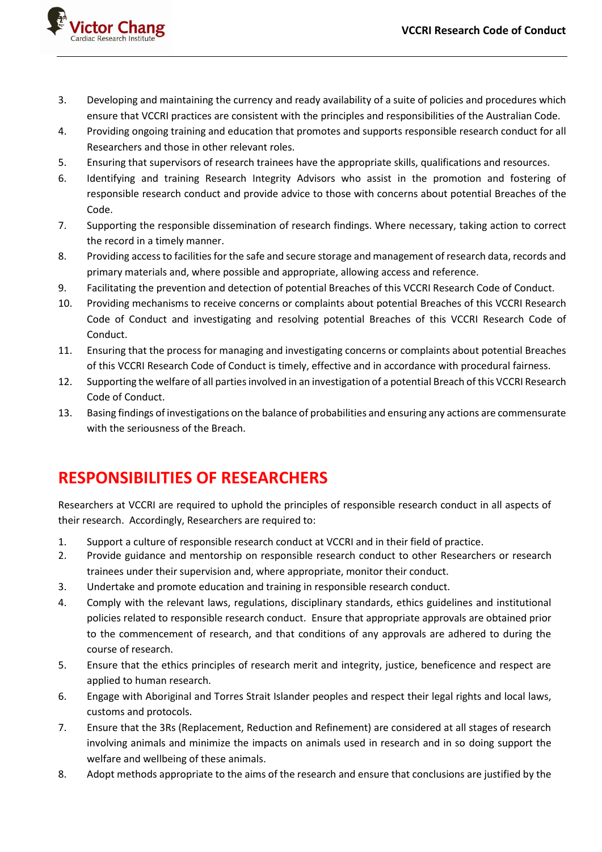

- 3. Developing and maintaining the currency and ready availability of a suite of policies and procedures which ensure that VCCRI practices are consistent with the principles and responsibilities of the Australian Code.
- 4. Providing ongoing training and education that promotes and supports responsible research conduct for all Researchers and those in other relevant roles.
- 5. Ensuring that supervisors of research trainees have the appropriate skills, qualifications and resources.
- 6. Identifying and training Research Integrity Advisors who assist in the promotion and fostering of responsible research conduct and provide advice to those with concerns about potential Breaches of the Code.
- 7. Supporting the responsible dissemination of research findings. Where necessary, taking action to correct the record in a timely manner.
- 8. Providing access to facilities for the safe and secure storage and management of research data, records and primary materials and, where possible and appropriate, allowing access and reference.
- 9. Facilitating the prevention and detection of potential Breaches of this VCCRI Research Code of Conduct.
- 10. Providing mechanisms to receive concerns or complaints about potential Breaches of this VCCRI Research Code of Conduct and investigating and resolving potential Breaches of this VCCRI Research Code of Conduct.
- 11. Ensuring that the process for managing and investigating concerns or complaints about potential Breaches of this VCCRI Research Code of Conduct is timely, effective and in accordance with procedural fairness.
- 12. Supporting the welfare of all parties involved in an investigation of a potential Breach of this VCCRI Research Code of Conduct.
- 13. Basing findings of investigations on the balance of probabilities and ensuring any actions are commensurate with the seriousness of the Breach.

## **RESPONSIBILITIES OF RESEARCHERS**

Researchers at VCCRI are required to uphold the principles of responsible research conduct in all aspects of their research. Accordingly, Researchers are required to:

- 1. Support a culture of responsible research conduct at VCCRI and in their field of practice.
- 2. Provide guidance and mentorship on responsible research conduct to other Researchers or research trainees under their supervision and, where appropriate, monitor their conduct.
- 3. Undertake and promote education and training in responsible research conduct.
- 4. Comply with the relevant laws, regulations, disciplinary standards, ethics guidelines and institutional policies related to responsible research conduct. Ensure that appropriate approvals are obtained prior to the commencement of research, and that conditions of any approvals are adhered to during the course of research.
- 5. Ensure that the ethics principles of research merit and integrity, justice, beneficence and respect are applied to human research.
- 6. Engage with Aboriginal and Torres Strait Islander peoples and respect their legal rights and local laws, customs and protocols.
- 7. Ensure that the 3Rs (Replacement, Reduction and Refinement) are considered at all stages of research involving animals and minimize the impacts on animals used in research and in so doing support the welfare and wellbeing of these animals.
- 8. Adopt methods appropriate to the aims of the research and ensure that conclusions are justified by the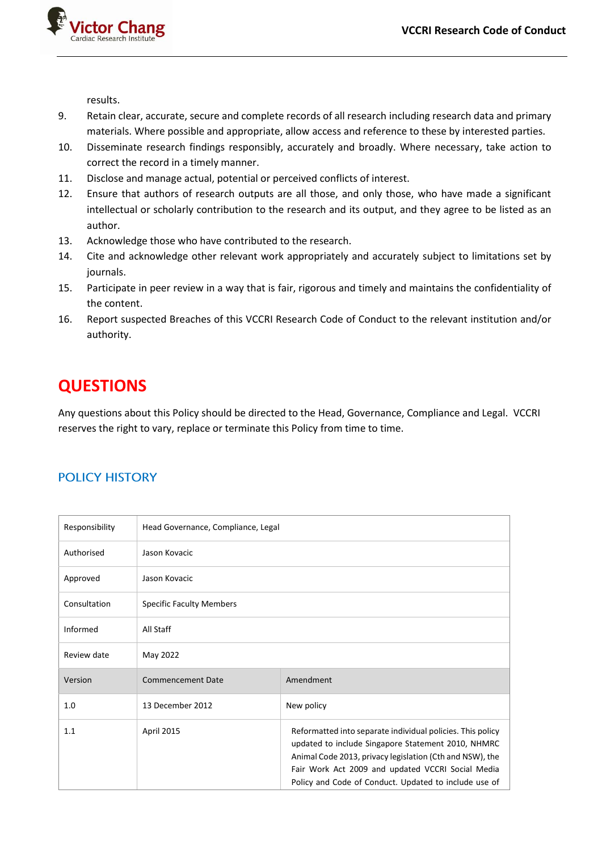

results.

- 9. Retain clear, accurate, secure and complete records of all research including research data and primary materials. Where possible and appropriate, allow access and reference to these by interested parties.
- 10. Disseminate research findings responsibly, accurately and broadly. Where necessary, take action to correct the record in a timely manner.
- 11. Disclose and manage actual, potential or perceived conflicts of interest.
- 12. Ensure that authors of research outputs are all those, and only those, who have made a significant intellectual or scholarly contribution to the research and its output, and they agree to be listed as an author.
- 13. Acknowledge those who have contributed to the research.
- 14. Cite and acknowledge other relevant work appropriately and accurately subject to limitations set by journals.
- 15. Participate in peer review in a way that is fair, rigorous and timely and maintains the confidentiality of the content.
- 16. Report suspected Breaches of this VCCRI Research Code of Conduct to the relevant institution and/or authority.

## **QUESTIONS**

Any questions about this Policy should be directed to the Head, Governance, Compliance and Legal. VCCRI reserves the right to vary, replace or terminate this Policy from time to time.

### **POLICY HISTORY**

| Responsibility | Head Governance, Compliance, Legal |                                                                                                                                                                                                                                                                                            |
|----------------|------------------------------------|--------------------------------------------------------------------------------------------------------------------------------------------------------------------------------------------------------------------------------------------------------------------------------------------|
| Authorised     | Jason Kovacic                      |                                                                                                                                                                                                                                                                                            |
| Approved       | Jason Kovacic                      |                                                                                                                                                                                                                                                                                            |
| Consultation   | <b>Specific Faculty Members</b>    |                                                                                                                                                                                                                                                                                            |
| Informed       | All Staff                          |                                                                                                                                                                                                                                                                                            |
| Review date    | May 2022                           |                                                                                                                                                                                                                                                                                            |
| Version        | <b>Commencement Date</b>           | Amendment                                                                                                                                                                                                                                                                                  |
| 1.0            | 13 December 2012                   | New policy                                                                                                                                                                                                                                                                                 |
| 1.1            | <b>April 2015</b>                  | Reformatted into separate individual policies. This policy<br>updated to include Singapore Statement 2010, NHMRC<br>Animal Code 2013, privacy legislation (Cth and NSW), the<br>Fair Work Act 2009 and updated VCCRI Social Media<br>Policy and Code of Conduct. Updated to include use of |